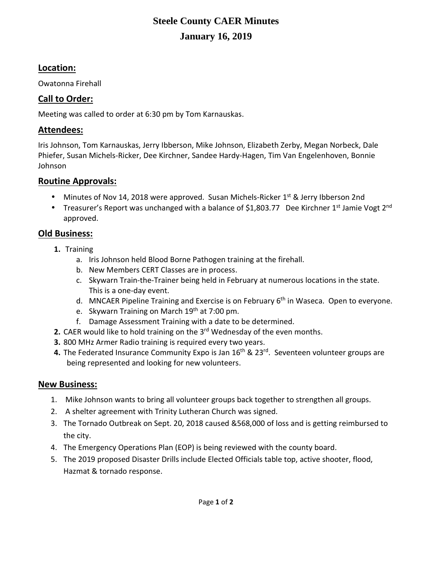# **Steele County CAER Minutes January 16, 2019**

## **Location:**

Owatonna Firehall

## **Call to Order:**

Meeting was called to order at 6:30 pm by Tom Karnauskas.

## **Attendees:**

Iris Johnson, Tom Karnauskas, Jerry Ibberson, Mike Johnson, Elizabeth Zerby, Megan Norbeck, Dale Phiefer, Susan Michels-Ricker, Dee Kirchner, Sandee Hardy-Hagen, Tim Van Engelenhoven, Bonnie Johnson

## **Routine Approvals:**

- Minutes of Nov 14, 2018 were approved. Susan Michels-Ricker  $1^{st}$  & Jerry Ibberson 2nd
- Treasurer's Report was unchanged with a balance of \$1,803.77 Dee Kirchner 1<sup>st</sup> Jamie Vogt 2<sup>nd</sup> approved.

## **Old Business:**

- **1.** Training
	- a. Iris Johnson held Blood Borne Pathogen training at the firehall.
	- b. New Members CERT Classes are in process.
	- c. Skywarn Train-the-Trainer being held in February at numerous locations in the state. This is a one-day event.
	- d. MNCAER Pipeline Training and Exercise is on February 6<sup>th</sup> in Waseca. Open to everyone.
	- e. Skywarn Training on March 19<sup>th</sup> at 7:00 pm.
	- f. Damage Assessment Training with a date to be determined.
- **2.** CAER would like to hold training on the 3rd Wednesday of the even months.
- **3.** 800 MHz Armer Radio training is required every two years.
- 4. The Federated Insurance Community Expo is Jan 16<sup>th</sup> & 23<sup>rd</sup>. Seventeen volunteer groups are being represented and looking for new volunteers.

## **New Business:**

- 1. Mike Johnson wants to bring all volunteer groups back together to strengthen all groups.
- 2. A shelter agreement with Trinity Lutheran Church was signed.
- 3. The Tornado Outbreak on Sept. 20, 2018 caused &568,000 of loss and is getting reimbursed to the city.
- 4. The Emergency Operations Plan (EOP) is being reviewed with the county board.
- 5. The 2019 proposed Disaster Drills include Elected Officials table top, active shooter, flood, Hazmat & tornado response.